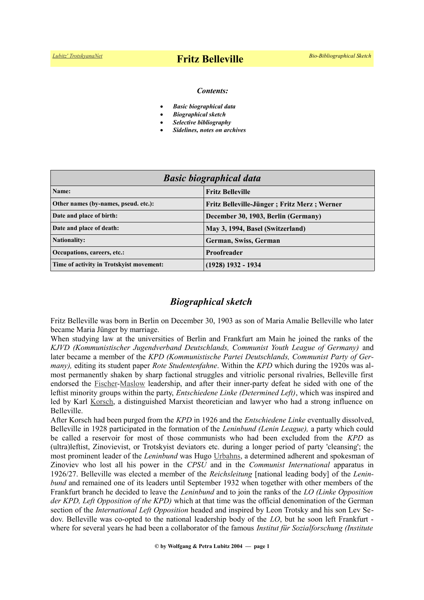#### *Contents:*

- *Basic biographical data*
- *Biographical sketch*
- *Selective bibliography*
- *Sidelines, notes on archives*

| <b>Basic biographical data</b>           |                                             |
|------------------------------------------|---------------------------------------------|
| Name:                                    | <b>Fritz Belleville</b>                     |
| Other names (by-names, pseud. etc.):     | Fritz Belleville-Jünger; Fritz Merz; Werner |
| Date and place of birth:                 | December 30, 1903, Berlin (Germany)         |
| Date and place of death:                 | May 3, 1994, Basel (Switzerland)            |
| <b>Nationality:</b>                      | German, Swiss, German                       |
| Occupations, careers, etc.:              | Proofreader                                 |
| Time of activity in Trotskyist movement: | (1928) 1932 - 1934                          |

## *Biographical sketch*

Fritz Belleville was born in Berlin on December 30, 1903 as son of Maria Amalie Belleville who later became Maria Jünger by marriage.

When studying law at the universities of Berlin and Frankfurt am Main he joined the ranks of the *KJVD (Kommunistischer Jugendverband Deutschlands, Communist Youth League of Germany)* and later became a member of the *KPD (Kommunistische Partei Deutschlands, Communist Party of Germany),* editing its student paper *Rote Studentenfahne*. Within the *KPD* which during the 1920s was almost permanently shaken by sharp factional struggles and vitriolic personal rivalries, Belleville first endorsed the [Fischer](https://en.wikipedia.org/wiki/Ruth_Fischer)[-Maslow](https://en.wikipedia.org/wiki/Arkadi_Maslow) leadership, and after their inner-party defeat he sided with one of the leftist minority groups within the party, *Entschiedene Linke (Determined Left)*, which was inspired and led by Karl [Korsch,](https://en.wikipedia.org/wiki/Karl_Korsch) a distinguished Marxist theoretician and lawyer who had a strong influence on Belleville.

After Korsch had been purged from the *KPD* in 1926 and the *Entschiedene Linke* eventually dissolved, Belleville in 1928 participated in the formation of the *Leninbund (Lenin League),* a party which could be called a reservoir for most of those communists who had been excluded from the *KPD* as (ultra)leftist, Zinovievist, or Trotskyist deviators etc. during a longer period of party 'cleansing'; the most prominent leader of the *Leninbund* was Hugo [Urbahns,](https://de.wikipedia.org/wiki/Hugo_Urbahns) a determined adherent and spokesman of Zinoviev who lost all his power in the *CPSU* and in the *Communist International* apparatus in 1926/27. Belleville was elected a member of the *Reichsleitung* [national leading body] of the *Leninbund* and remained one of its leaders until September 1932 when together with other members of the Frankfurt branch he decided to leave the *Leninbund* and to join the ranks of the *LO (Linke Opposition der KPD, Left Opposition of the KPD)* which at that time was the official denomination of the German section of the *International Left Opposition* headed and inspired by Leon Trotsky and his son Lev Sedov. Belleville was co-opted to the national leadership body of the *LO*, but he soon left Frankfurt where for several years he had been a collaborator of the famous *Institut für Sozialforschung (Institute*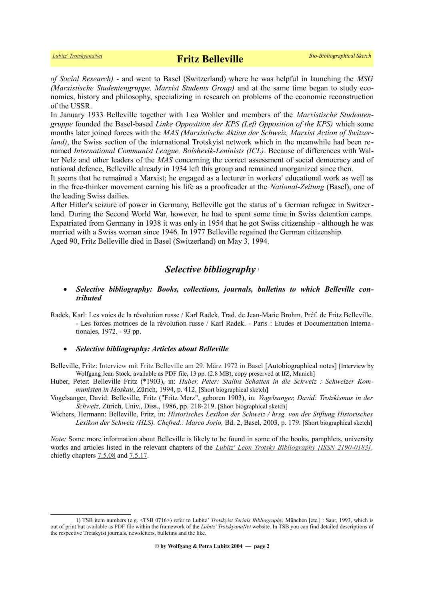*of Social Research)* - and went to Basel (Switzerland) where he was helpful in launching the *MSG (Marxistische Studentengruppe, Marxist Students Group)* and at the same time began to study economics, history and philosophy, specializing in research on problems of the economic reconstruction of the USSR.

In January 1933 Belleville together with Leo Wohler and members of the *Marxistische Studentengruppe* founded the Basel-based *Linke Opposition der KPS (Left Opposition of the KPS)* which some months later joined forces with the *MAS (Marxistische Aktion der Schweiz, Marxist Action of Switzerland*), the Swiss section of the international Trotskyist network which in the meanwhile had been renamed *International Communist League, Bolshevik-Leninists (ICL)*. Because of differences with Walter Nelz and other leaders of the *MAS* concerning the correct assessment of social democracy and of national defence, Belleville already in 1934 left this group and remained unorganized since then.

It seems that he remained a Marxist; he engaged as a lecturer in workers' educational work as well as in the free-thinker movement earning his life as a proofreader at the *National-Zeitung* (Basel), one of the leading Swiss dailies.

After Hitler's seizure of power in Germany, Belleville got the status of a German refugee in Switzerland. During the Second World War, however, he had to spent some time in Swiss detention camps. Expatriated from Germany in 1938 it was only in 1954 that he got Swiss citizenship - although he was married with a Swiss woman since 1946. In 1977 Belleville regained the German citizenship. Aged 90, Fritz Belleville died in Basel (Switzerland) on May 3, 1994.

# *Selective bibliography* [1](#page-1-0)

- *Selective bibliography: Books, collections, journals, bulletins to which Belleville contributed*
- Radek, Karl: Les voies de la révolution russe / Karl Radek. Trad. de Jean-Marie Brohm. Préf. de Fritz Belleville. - Les forces motrices de la révolution russe / Karl Radek. - Paris : Etudes et Documentation Internationales, 1972. - 93 pp.

### *Selective bibliography: Articles about Belleville*

Belleville, Fritz: [Interview mit Fritz Belleville am 29. März 1972 in Basel](http://www.ifz-muenchen.de/archiv/zs/zs-3008.pdf) [Autobiographical notes] [Interview by Wolfgang Jean Stock, available as PDF file, 13 pp. (2.8 MB), copy preserved at IfZ, Munich]

Huber, Peter: Belleville Fritz (\*1903), in: *Huber, Peter: Stalins Schatten in die Schweiz : Schweizer Kommunisten in Moskau*, Zürich, 1994, p. 412. [Short biographical sketch]

Vogelsanger, David: Belleville, Fritz ("Fritz Merz", geboren 1903), in: *Vogelsanger, David: Trotzkismus in der Schweiz,* Zürich, Univ., Diss., 1986, pp. 218-219. [Short biographical sketch]

Wichers, Hermann: Belleville, Fritz, in: *Historisches Lexikon der Schweiz / hrsg. von der Stiftung Historisches Lexikon der Schweiz (HLS). Chefred.: Marco Jorio,* Bd. 2, Basel, 2003, p. 179. [Short biographical sketch]

*Note:* Some more information about Belleville is likely to be found in some of the books, pamphlets, university works and articles listed in the relevant chapters of the *[Lubitz' Leon Trotsky Bibliography \[ISSN 2190-0183\],](https://www.trotskyana.net/LubitzBibliographies/Trotsky_Bibliography/Leon_Trotsky_Bibliography.html)* chiefly chapters  $7.5.08$  and  $7.5.17$ .

<span id="page-1-0"></span><sup>1)</sup> TSB item numbers (e.g. <TSB 0716>) refer to Lubitz' *Trotskyist Serials Bibliography*, München [etc.] : Saur, 1993, which is out of print but [available as PDF file](https://www.trotskyana.net/LubitzBibliographies/Serials_Bibliography/zsn-bibl_ms.pdf) within the framework of the *Lubitz' TrotskyanaNet* website. In TSB you can find detailed descriptions of the respective Trotskyist journals, newsletters, bulletins and the like.